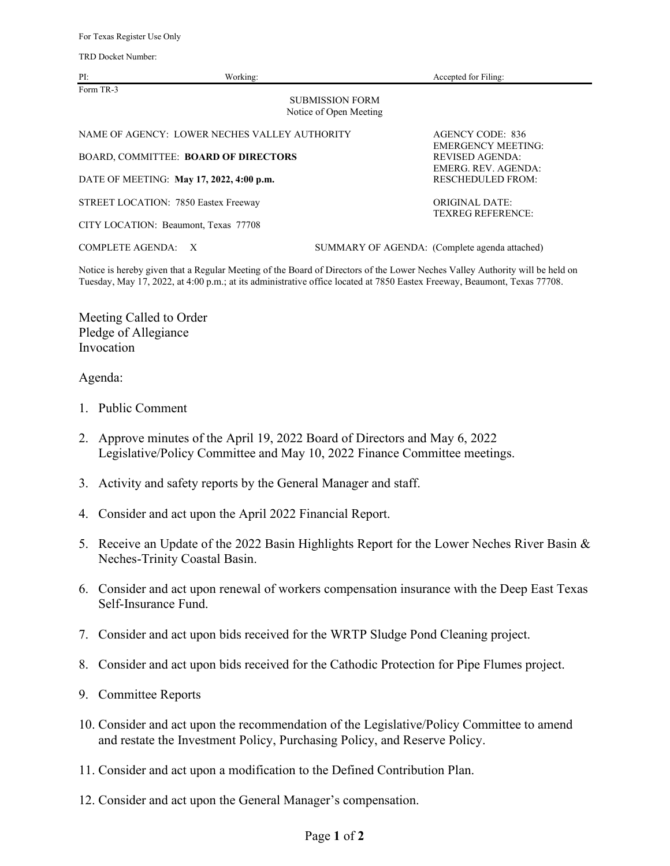TRD Docket Number:

| PI:                                           | Working: |                                                                                                | Accepted for Filing: |
|-----------------------------------------------|----------|------------------------------------------------------------------------------------------------|----------------------|
| Form TR-3                                     |          | <b>SUBMISSION FORM</b><br>Notice of Open Meeting                                               |                      |
| NAME OF AGENCY: LOWER NECHES VALLEY AUTHORITY |          | AGENCY CODE: 836<br><b>EMERGENCY MEETING:</b><br><b>REVISED AGENDA:</b><br>EMERG. REV. AGENDA: |                      |
| <b>BOARD, COMMITTEE: BOARD OF DIRECTORS</b>   |          |                                                                                                |                      |
| DATE OF MEETING: May 17, 2022, 4:00 p.m.      |          | RESCHEDULED FROM:                                                                              |                      |
| STREET LOCATION: 7850 Eastex Freeway          |          | ORIGINAL DATE:<br><b>TEXREG REFERENCE:</b>                                                     |                      |
| CITY LOCATION: Beaumont, Texas 77708          |          |                                                                                                |                      |
| <b>COMPLETE AGENDA:</b><br>X                  |          | SUMMARY OF AGENDA: (Complete agenda attached)                                                  |                      |

Notice is hereby given that a Regular Meeting of the Board of Directors of the Lower Neches Valley Authority will be held on Tuesday, May 17, 2022, at 4:00 p.m.; at its administrative office located at 7850 Eastex Freeway, Beaumont, Texas 77708.

Meeting Called to Order Pledge of Allegiance Invocation

## Agenda:

- 1. Public Comment
- 2. Approve minutes of the April 19, 2022 Board of Directors and May 6, 2022 Legislative/Policy Committee and May 10, 2022 Finance Committee meetings.
- 3. Activity and safety reports by the General Manager and staff.
- 4. Consider and act upon the April 2022 Financial Report.
- 5. Receive an Update of the 2022 Basin Highlights Report for the Lower Neches River Basin & Neches-Trinity Coastal Basin.
- 6. Consider and act upon renewal of workers compensation insurance with the Deep East Texas Self-Insurance Fund.
- 7. Consider and act upon bids received for the WRTP Sludge Pond Cleaning project.
- 8. Consider and act upon bids received for the Cathodic Protection for Pipe Flumes project.
- 9. Committee Reports
- 10. Consider and act upon the recommendation of the Legislative/Policy Committee to amend and restate the Investment Policy, Purchasing Policy, and Reserve Policy.
- 11. Consider and act upon a modification to the Defined Contribution Plan.
- 12. Consider and act upon the General Manager's compensation.